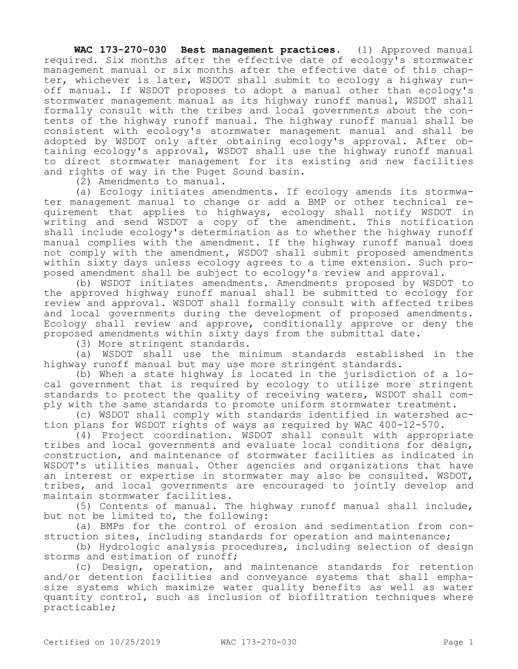**WAC 173-270-030 Best management practices.** (1) Approved manual required. Six months after the effective date of ecology's stormwater management manual or six months after the effective date of this chapter, whichever is later, WSDOT shall submit to ecology a highway runoff manual. If WSDOT proposes to adopt a manual other than ecology's stormwater management manual as its highway runoff manual, WSDOT shall formally consult with the tribes and local governments about the contents of the highway runoff manual. The highway runoff manual shall be consistent with ecology's stormwater management manual and shall be adopted by WSDOT only after obtaining ecology's approval. After obtaining ecology's approval, WSDOT shall use the highway runoff manual to direct stormwater management for its existing and new facilities and rights of way in the Puget Sound basin.

(2) Amendments to manual.

(a) Ecology initiates amendments. If ecology amends its stormwater management manual to change or add a BMP or other technical requirement that applies to highways, ecology shall notify WSDOT in writing and send WSDOT a copy of the amendment. This notification shall include ecology's determination as to whether the highway runoff manual complies with the amendment. If the highway runoff manual does not comply with the amendment, WSDOT shall submit proposed amendments within sixty days unless ecology agrees to a time extension. Such proposed amendment shall be subject to ecology's review and approval.

(b) WSDOT initiates amendments. Amendments proposed by WSDOT to the approved highway runoff manual shall be submitted to ecology for review and approval. WSDOT shall formally consult with affected tribes and local governments during the development of proposed amendments. Ecology shall review and approve, conditionally approve or deny the proposed amendments within sixty days from the submittal date.

(3) More stringent standards.

(a) WSDOT shall use the minimum standards established in the highway runoff manual but may use more stringent standards.

(b) When a state highway is located in the jurisdiction of a local government that is required by ecology to utilize more stringent standards to protect the quality of receiving waters, WSDOT shall comply with the same standards to promote uniform stormwater treatment.

(c) WSDOT shall comply with standards identified in watershed action plans for WSDOT rights of ways as required by WAC 400-12-570.

(4) Project coordination. WSDOT shall consult with appropriate tribes and local governments and evaluate local conditions for design, construction, and maintenance of stormwater facilities as indicated in WSDOT's utilities manual. Other agencies and organizations that have an interest or expertise in stormwater may also be consulted. WSDOT, tribes, and local governments are encouraged to jointly develop and maintain stormwater facilities.

(5) Contents of manual. The highway runoff manual shall include, but not be limited to, the following:

(a) BMPs for the control of erosion and sedimentation from construction sites, including standards for operation and maintenance;

(b) Hydrologic analysis procedures, including selection of design storms and estimation of runoff;

(c) Design, operation, and maintenance standards for retention and/or detention facilities and conveyance systems that shall emphasize systems which maximize water quality benefits as well as water quantity control, such as inclusion of biofiltration techniques where practicable;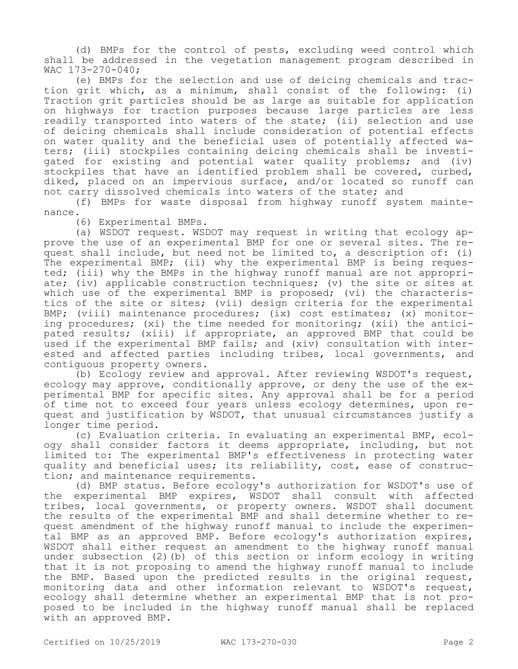(d) BMPs for the control of pests, excluding weed control which shall be addressed in the vegetation management program described in WAC 173-270-040;

(e) BMPs for the selection and use of deicing chemicals and traction grit which, as a minimum, shall consist of the following: (i) Traction grit particles should be as large as suitable for application on highways for traction purposes because large particles are less readily transported into waters of the state; (ii) selection and use of deicing chemicals shall include consideration of potential effects on water quality and the beneficial uses of potentially affected waters; (iii) stockpiles containing deicing chemicals shall be investigated for existing and potential water quality problems; and (iv) stockpiles that have an identified problem shall be covered, curbed, diked, placed on an impervious surface, and/or located so runoff can not carry dissolved chemicals into waters of the state; and

(f) BMPs for waste disposal from highway runoff system maintenance.

(6) Experimental BMPs.

(a) WSDOT request. WSDOT may request in writing that ecology approve the use of an experimental BMP for one or several sites. The request shall include, but need not be limited to, a description of: (i) The experimental BMP; (ii) why the experimental BMP is being requested; (iii) why the BMPs in the highway runoff manual are not appropriate; (iv) applicable construction techniques; (v) the site or sites at which use of the experimental BMP is proposed; (vi) the characteristics of the site or sites; (vii) design criteria for the experimental BMP; (viii) maintenance procedures; (ix) cost estimates; (x) monitoring procedures; (xi) the time needed for monitoring; (xii) the anticipated results; (xiii) if appropriate, an approved BMP that could be used if the experimental BMP fails; and (xiv) consultation with interested and affected parties including tribes, local governments, and contiguous property owners.

(b) Ecology review and approval. After reviewing WSDOT's request, ecology may approve, conditionally approve, or deny the use of the experimental BMP for specific sites. Any approval shall be for a period of time not to exceed four years unless ecology determines, upon request and justification by WSDOT, that unusual circumstances justify a longer time period.

(c) Evaluation criteria. In evaluating an experimental BMP, ecology shall consider factors it deems appropriate, including, but not limited to: The experimental BMP's effectiveness in protecting water quality and beneficial uses; its reliability, cost, ease of construction; and maintenance requirements.

(d) BMP status. Before ecology's authorization for WSDOT's use of the experimental BMP expires, WSDOT shall consult with affected tribes, local governments, or property owners. WSDOT shall document the results of the experimental BMP and shall determine whether to request amendment of the highway runoff manual to include the experimental BMP as an approved BMP. Before ecology's authorization expires, WSDOT shall either request an amendment to the highway runoff manual under subsection (2)(b) of this section or inform ecology in writing that it is not proposing to amend the highway runoff manual to include the BMP. Based upon the predicted results in the original request, monitoring data and other information relevant to WSDOT's request, ecology shall determine whether an experimental BMP that is not proposed to be included in the highway runoff manual shall be replaced with an approved BMP.